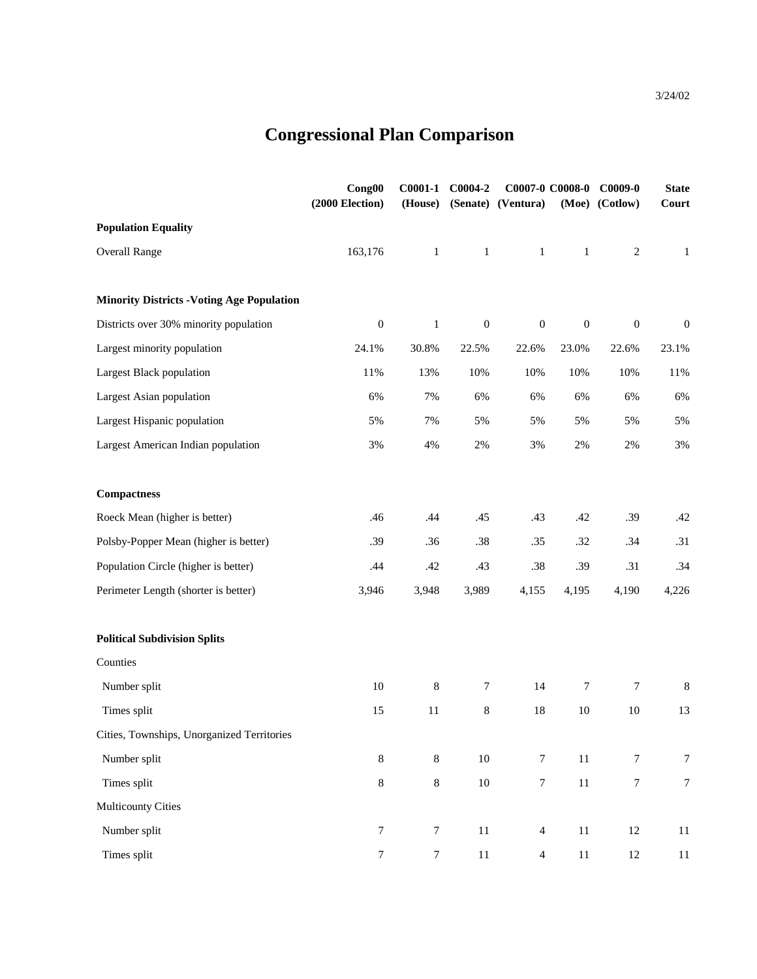## **Congressional Plan Comparison**

|                                                   | Cong00<br>$(2000$ Election) | $C0001-1$<br>(House) | C0004-2          | (Senate) (Ventura) | C0007-0 C0008-0  | $C0009-0$<br>(Moe) (Cotlow) | <b>State</b><br>Court |
|---------------------------------------------------|-----------------------------|----------------------|------------------|--------------------|------------------|-----------------------------|-----------------------|
| <b>Population Equality</b>                        |                             |                      |                  |                    |                  |                             |                       |
| <b>Overall Range</b>                              | 163,176                     | $\mathbf{1}$         | $\mathbf{1}$     | $\mathbf{1}$       | $\mathbf{1}$     | $\sqrt{2}$                  | $\mathbf{1}$          |
| <b>Minority Districts - Voting Age Population</b> |                             |                      |                  |                    |                  |                             |                       |
| Districts over 30% minority population            | $\boldsymbol{0}$            | $\mathbf{1}$         | $\boldsymbol{0}$ | $\boldsymbol{0}$   | $\boldsymbol{0}$ | $\boldsymbol{0}$            | $\boldsymbol{0}$      |
| Largest minority population                       | 24.1%                       | 30.8%                | 22.5%            | 22.6%              | 23.0%            | 22.6%                       | 23.1%                 |
| Largest Black population                          | $11\%$                      | 13%                  | 10%              | 10%                | 10%              | 10%                         | 11%                   |
| Largest Asian population                          | 6%                          | 7%                   | 6%               | 6%                 | 6%               | 6%                          | 6%                    |
| Largest Hispanic population                       | 5%                          | 7%                   | 5%               | 5%                 | 5%               | 5%                          | 5%                    |
| Largest American Indian population                | 3%                          | 4%                   | $2\%$            | $3\%$              | 2%               | 2%                          | 3%                    |
| <b>Compactness</b>                                |                             |                      |                  |                    |                  |                             |                       |
| Roeck Mean (higher is better)                     | .46                         | .44                  | .45              | .43                | .42              | .39                         | .42                   |
| Polsby-Popper Mean (higher is better)             | .39                         | .36                  | .38              | .35                | .32              | .34                         | .31                   |
| Population Circle (higher is better)              | .44                         | .42                  | .43              | .38                | .39              | .31                         | .34                   |
| Perimeter Length (shorter is better)              | 3,946                       | 3,948                | 3,989            | 4,155              | 4,195            | 4,190                       | 4,226                 |
| <b>Political Subdivision Splits</b>               |                             |                      |                  |                    |                  |                             |                       |
| Counties                                          |                             |                      |                  |                    |                  |                             |                       |
| Number split                                      | $10\,$                      | $\,8\,$              | $\tau$           | 14                 | 7                | $\tau$                      | 8                     |
| Times split                                       | 15                          | 11                   | $\,8\,$          | 18                 | $10\,$           | $10\,$                      | 13                    |
| Cities, Townships, Unorganized Territories        |                             |                      |                  |                    |                  |                             |                       |
| Number split                                      | $8\,$                       | $8\,$                | $10\,$           | $\boldsymbol{7}$   | 11               | $\boldsymbol{7}$            | $\tau$                |
| Times split                                       | $\,8\,$                     | $8\,$                | $10\,$           | $\boldsymbol{7}$   | $11\,$           | $\boldsymbol{7}$            | $\boldsymbol{7}$      |
| <b>Multicounty Cities</b>                         |                             |                      |                  |                    |                  |                             |                       |
| Number split                                      | $\boldsymbol{7}$            | $\boldsymbol{7}$     | $11\,$           | $\overline{4}$     | $11\,$           | $12\,$                      | 11                    |
| Times split                                       | $\boldsymbol{7}$            | $\boldsymbol{7}$     | $11\,$           | $\overline{4}$     | $11\,$           | $12\,$                      | $11\,$                |